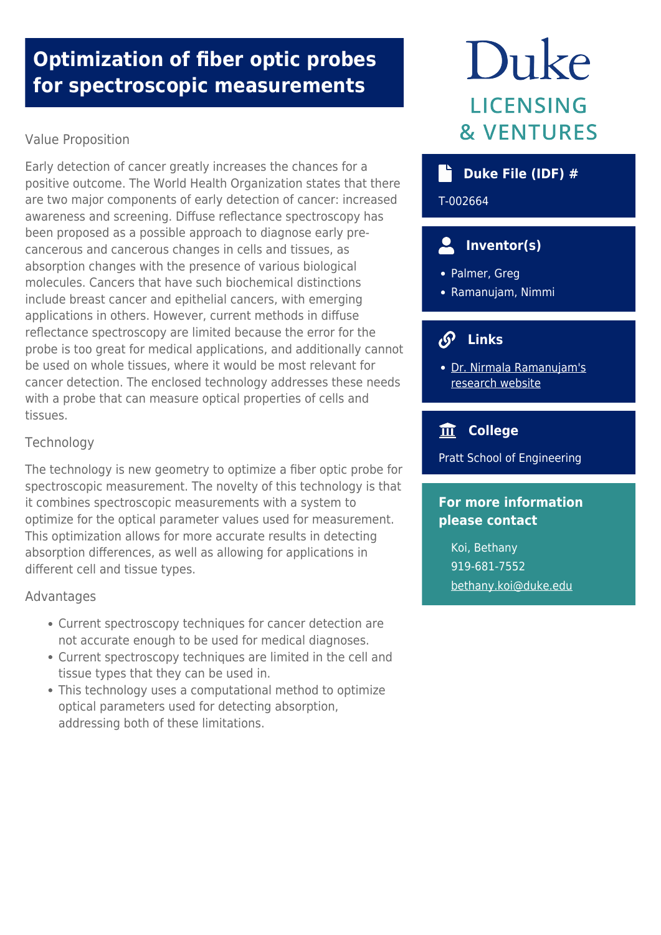# **Optimization of fiber optic probes for spectroscopic measurements**

# Value Proposition

Early detection of cancer greatly increases the chances for a positive outcome. The World Health Organization states that there are two major components of early detection of cancer: increased awareness and screening. Diffuse reflectance spectroscopy has been proposed as a possible approach to diagnose early precancerous and cancerous changes in cells and tissues, as absorption changes with the presence of various biological molecules. Cancers that have such biochemical distinctions include breast cancer and epithelial cancers, with emerging applications in others. However, current methods in diffuse reflectance spectroscopy are limited because the error for the probe is too great for medical applications, and additionally cannot be used on whole tissues, where it would be most relevant for cancer detection. The enclosed technology addresses these needs with a probe that can measure optical properties of cells and tissues.

## **Technology**

The technology is new geometry to optimize a fiber optic probe for spectroscopic measurement. The novelty of this technology is that it combines spectroscopic measurements with a system to optimize for the optical parameter values used for measurement. This optimization allows for more accurate results in detecting absorption differences, as well as allowing for applications in different cell and tissue types.

#### Advantages

- Current spectroscopy techniques for cancer detection are not accurate enough to be used for medical diagnoses.
- Current spectroscopy techniques are limited in the cell and tissue types that they can be used in.
- This technology uses a computational method to optimize optical parameters used for detecting absorption, addressing both of these limitations.

# Duke **LICENSING & VENTURES**

# **Duke File (IDF) #**

T-002664

# **Inventor(s)**

- Palmer, Greg
- Ramanujam, Nimmi

#### $\mathcal{S}$  **Links**

[Dr. Nirmala Ramanujam's](http://nimmi.bme.duke.edu/) [research website](http://nimmi.bme.duke.edu/)

# **College**

Pratt School of Engineering

# **For more information please contact**

Koi, Bethany 919-681-7552 [bethany.koi@duke.edu](mailto:bethany.koi@duke.edu)